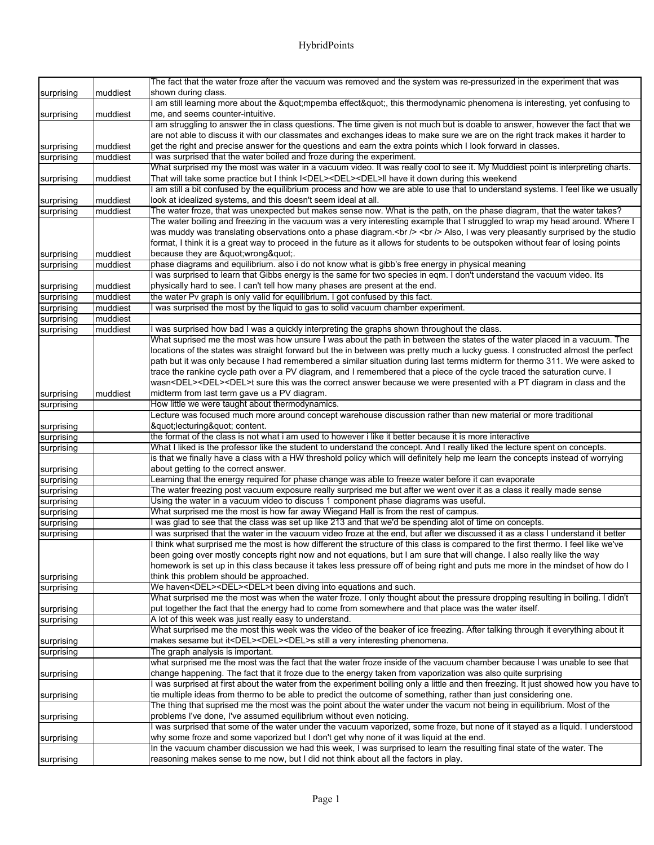|            |          | The fact that the water froze after the vacuum was removed and the system was re-pressurized in the experiment that was                                                                                      |
|------------|----------|--------------------------------------------------------------------------------------------------------------------------------------------------------------------------------------------------------------|
| surprising | muddiest | shown during class.                                                                                                                                                                                          |
|            |          | am still learning more about the "mpemba effect", this thermodynamic phenomena is interesting, yet confusing to                                                                                              |
| surprising | muddiest | me, and seems counter-intuitive.                                                                                                                                                                             |
|            |          | I am struggling to answer the in class questions. The time given is not much but is doable to answer, however the fact that we                                                                               |
|            |          | are not able to discuss it with our classmates and exchanges ideas to make sure we are on the right track makes it harder to                                                                                 |
| surprising | muddiest | get the right and precise answer for the questions and earn the extra points which I look forward in classes.                                                                                                |
| surprising | muddiest | I was surprised that the water boiled and froze during the experiment.                                                                                                                                       |
|            |          | What surprised my the most was water in a vacuum video. It was really cool to see it. My Muddiest point is interpreting charts.                                                                              |
| surprising | muddiest | That will take some practice but I think I <del><del><del>II have it down during this weekend</del></del></del>                                                                                              |
|            |          | am still a bit confused by the equilibrium process and how we are able to use that to understand systems. I feel like we usually                                                                             |
| surprising | muddiest | look at idealized systems, and this doesn't seem ideal at all.                                                                                                                                               |
| surprising | muddiest | The water froze, that was unexpected but makes sense now. What is the path, on the phase diagram, that the water takes?                                                                                      |
|            |          | The water boiling and freezing in the vacuum was a very interesting example that I struggled to wrap my head around. Where I                                                                                 |
|            |          | was muddy was translating observations onto a phase diagram.<br><br><br>><br>>>> was very pleasantly surprised by the studio                                                                                 |
| surprising | muddiest | format, I think it is a great way to proceed in the future as it allows for students to be outspoken without fear of losing points<br>because they are "wrong".                                              |
| surprising | muddiest | phase diagrams and equilibrium. also i do not know what is gibb's free energy in physical meaning                                                                                                            |
|            |          | I was surprised to learn that Gibbs energy is the same for two species in eqm. I don't understand the vacuum video. Its                                                                                      |
| surprising | muddiest | physically hard to see. I can't tell how many phases are present at the end.                                                                                                                                 |
| surprising | muddiest | the water Pv graph is only valid for equilibrium. I got confused by this fact.                                                                                                                               |
| surprising | muddiest | was surprised the most by the liquid to gas to solid vacuum chamber experiment.                                                                                                                              |
| surprising | muddiest |                                                                                                                                                                                                              |
| surprising | muddiest | I was surprised how bad I was a quickly interpreting the graphs shown throughout the class.                                                                                                                  |
|            |          | What suprised me the most was how unsure I was about the path in between the states of the water placed in a vacuum. The                                                                                     |
|            |          | locations of the states was straight forward but the in between was pretty much a lucky guess. I constructed almost the perfect                                                                              |
|            |          | path but it was only because I had remembered a similar situation during last terms midterm for thermo 311. We were asked to                                                                                 |
|            |          | trace the rankine cycle path over a PV diagram, and I remembered that a piece of the cycle traced the saturation curve. I                                                                                    |
|            |          | wasn <del><del><del>t sure this was the correct answer because we were presented with a PT diagram in class and the</del></del></del>                                                                        |
| surprising | muddiest | midterm from last term gave us a PV diagram.                                                                                                                                                                 |
| surprising |          | How little we were taught about thermodynamics.                                                                                                                                                              |
|            |          | Lecture was focused much more around concept warehouse discussion rather than new material or more traditional                                                                                               |
| surprising |          | "lecturing" content.                                                                                                                                                                                         |
| surprising |          | the format of the class is not what i am used to however i like it better because it is more interactive                                                                                                     |
| surprising |          | What I liked is the professor like the student to understand the concept. And I really liked the lecture spent on concepts.                                                                                  |
|            |          | is that we finally have a class with a HW threshold policy which will definitely help me learn the concepts instead of worrying                                                                              |
| surprising |          | about getting to the correct answer.                                                                                                                                                                         |
| surprising |          | Learning that the energy required for phase change was able to freeze water before it can evaporate                                                                                                          |
| surprising |          | The water freezing post vacuum exposure really surprised me but after we went over it as a class it really made sense<br>Using the water in a vacuum video to discuss 1 component phase diagrams was useful. |
| surprising |          | What surprised me the most is how far away Wiegand Hall is from the rest of campus.                                                                                                                          |
| surprising |          | I was glad to see that the class was set up like 213 and that we'd be spending alot of time on concepts.                                                                                                     |
| surprising |          | I was surprised that the water in the vacuum video froze at the end, but after we discussed it as a class I understand it better                                                                             |
| surprising |          | I think what surprised me the most is how different the structure of this class is compared to the first thermo. I feel like we've                                                                           |
|            |          | been going over mostly concepts right now and not equations, but I am sure that will change. I also really like the way                                                                                      |
|            |          | homework is set up in this class because it takes less pressure off of being right and puts me more in the mindset of how do I                                                                               |
| surprising |          | think this problem should be approached.                                                                                                                                                                     |
| surprising |          | We haven <del><del><del>t been diving into equations and such.</del></del></del>                                                                                                                             |
|            |          | What surprised me the most was when the water froze. I only thought about the pressure dropping resulting in boiling. I didn't                                                                               |
| surprising |          | put together the fact that the energy had to come from somewhere and that place was the water itself.                                                                                                        |
| surprising |          | A lot of this week was just really easy to understand.                                                                                                                                                       |
|            |          | What surprised me the most this week was the video of the beaker of ice freezing. After talking through it everything about it                                                                               |
| surprising |          | makes sesame but it <del><del><del>s still a very interesting phenomena.</del></del></del>                                                                                                                   |
| surprising |          | The graph analysis is important.                                                                                                                                                                             |
|            |          | what surprised me the most was the fact that the water froze inside of the vacuum chamber because I was unable to see that                                                                                   |
| surprising |          | change happening. The fact that it froze due to the energy taken from vaporization was also quite surprising                                                                                                 |
|            |          | I was surprised at first about the water from the experiment boiling only a little and then freezing. It just showed how you have to                                                                         |
| surprising |          | tie multiple ideas from thermo to be able to predict the outcome of something, rather than just considering one.                                                                                             |
|            |          | The thing that suprised me the most was the point about the water under the vacum not being in equilibrium. Most of the                                                                                      |
| surprising |          | problems I've done, I've assumed equilibrium without even noticing.                                                                                                                                          |
|            |          | I was surprised that some of the water under the vacuum vaporized, some froze, but none of it stayed as a liquid. I understood                                                                               |
| surprising |          | why some froze and some vaporized but I don't get why none of it was liquid at the end.                                                                                                                      |
|            |          | In the vacuum chamber discussion we had this week, I was surprised to learn the resulting final state of the water. The                                                                                      |
| surprising |          | reasoning makes sense to me now, but I did not think about all the factors in play.                                                                                                                          |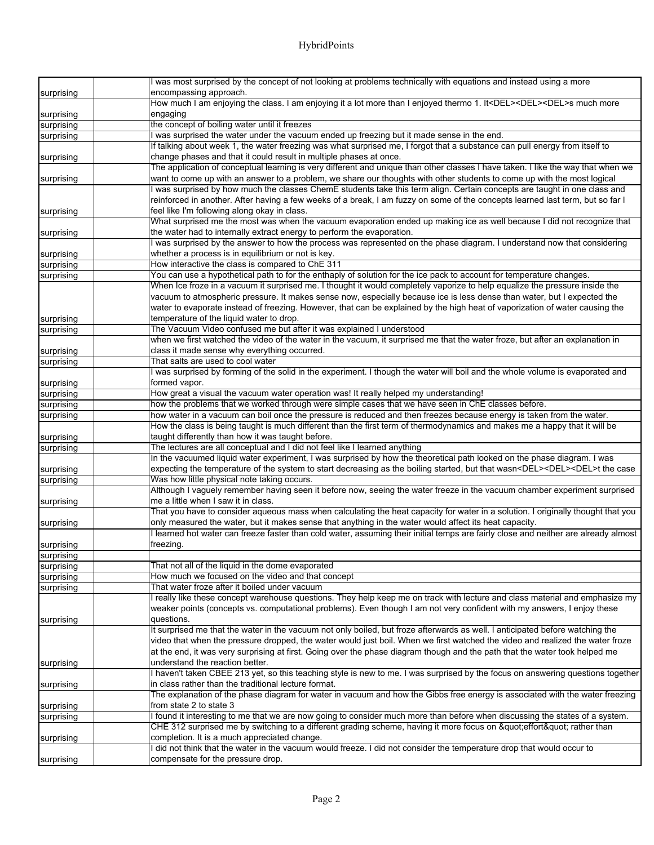|            | was most surprised by the concept of not looking at problems technically with equations and instead using a more                                                                                                                                    |
|------------|-----------------------------------------------------------------------------------------------------------------------------------------------------------------------------------------------------------------------------------------------------|
| surprising | encompassing approach.                                                                                                                                                                                                                              |
|            | How much I am enjoying the class. I am enjoying it a lot more than I enjoyed thermo 1. It <del><del><del>s much more</del></del></del>                                                                                                              |
| surprising | engaging                                                                                                                                                                                                                                            |
| surprising | the concept of boiling water until it freezes                                                                                                                                                                                                       |
| surprising | I was surprised the water under the vacuum ended up freezing but it made sense in the end.                                                                                                                                                          |
|            | If talking about week 1, the water freezing was what surprised me, I forgot that a substance can pull energy from itself to                                                                                                                         |
| surprising | change phases and that it could result in multiple phases at once.                                                                                                                                                                                  |
|            | The application of conceptual learning is very different and unique than other classes I have taken. I like the way that when we                                                                                                                    |
| surprising | want to come up with an answer to a problem, we share our thoughts with other students to come up with the most logical                                                                                                                             |
|            | was surprised by how much the classes ChemE students take this term align. Certain concepts are taught in one class and                                                                                                                             |
|            | reinforced in another. After having a few weeks of a break, I am fuzzy on some of the concepts learned last term, but so far I                                                                                                                      |
| surprising | feel like I'm following along okay in class.                                                                                                                                                                                                        |
|            | What surprised me the most was when the vacuum evaporation ended up making ice as well because I did not recognize that                                                                                                                             |
| surprising | the water had to internally extract energy to perform the evaporation.                                                                                                                                                                              |
|            | was surprised by the answer to how the process was represented on the phase diagram. I understand now that considering                                                                                                                              |
| surprising | whether a process is in equilibrium or not is key.                                                                                                                                                                                                  |
| surprising | How interactive the class is compared to ChE 311                                                                                                                                                                                                    |
| surprising | You can use a hypothetical path to for the enthaply of solution for the ice pack to account for temperature changes.<br>When Ice froze in a vacuum it surprised me. I thought it would completely vaporize to help equalize the pressure inside the |
|            | vacuum to atmospheric pressure. It makes sense now, especially because ice is less dense than water, but I expected the                                                                                                                             |
|            | water to evaporate instead of freezing. However, that can be explained by the high heat of vaporization of water causing the                                                                                                                        |
| surprising | temperature of the liquid water to drop.                                                                                                                                                                                                            |
| surprising | The Vacuum Video confused me but after it was explained I understood                                                                                                                                                                                |
|            | when we first watched the video of the water in the vacuum, it surprised me that the water froze, but after an explanation in                                                                                                                       |
| surprising | class it made sense why everything occurred.                                                                                                                                                                                                        |
| surprising | That salts are used to cool water                                                                                                                                                                                                                   |
|            | I was surprised by forming of the solid in the experiment. I though the water will boil and the whole volume is evaporated and                                                                                                                      |
| surprising | formed vapor.                                                                                                                                                                                                                                       |
| surprising | How great a visual the vacuum water operation was! It really helped my understanding!                                                                                                                                                               |
| surprising | how the problems that we worked through were simple cases that we have seen in ChE classes before.                                                                                                                                                  |
| surprising | how water in a vacuum can boil once the pressure is reduced and then freezes because energy is taken from the water.                                                                                                                                |
|            | How the class is being taught is much different than the first term of thermodynamics and makes me a happy that it will be                                                                                                                          |
| surprising | taught differently than how it was taught before.                                                                                                                                                                                                   |
| surprising | The lectures are all conceptual and I did not feel like I learned anything                                                                                                                                                                          |
|            | In the vacuumed liquid water experiment, I was surprised by how the theoretical path looked on the phase diagram. I was                                                                                                                             |
| surprising | expecting the temperature of the system to start decreasing as the boiling started, but that wasn <del><del><del>t the case</del></del></del>                                                                                                       |
| surprising | Was how little physical note taking occurs.                                                                                                                                                                                                         |
|            | Although I vaguely remember having seen it before now, seeing the water freeze in the vacuum chamber experiment surprised                                                                                                                           |
| surprising | me a little when I saw it in class.                                                                                                                                                                                                                 |
|            | That you have to consider aqueous mass when calculating the heat capacity for water in a solution. I originally thought that you                                                                                                                    |
| surprising | only measured the water, but it makes sense that anything in the water would affect its heat capacity.                                                                                                                                              |
|            | I learned hot water can freeze faster than cold water, assuming their initial temps are fairly close and neither are already almost                                                                                                                 |
| surprising | freezing.                                                                                                                                                                                                                                           |
| surprising |                                                                                                                                                                                                                                                     |
| surprising | That not all of the liquid in the dome evaporated                                                                                                                                                                                                   |
| surprising | How much we focused on the video and that concept<br>That water froze after it boiled under vacuum                                                                                                                                                  |
| surprising | I really like these concept warehouse questions. They help keep me on track with lecture and class material and emphasize my                                                                                                                        |
|            | weaker points (concepts vs. computational problems). Even though I am not very confident with my answers, I enjoy these                                                                                                                             |
| surprising | questions.                                                                                                                                                                                                                                          |
|            | It surprised me that the water in the vacuum not only boiled, but froze afterwards as well. I anticipated before watching the                                                                                                                       |
|            | video that when the pressure dropped, the water would just boil. When we first watched the video and realized the water froze                                                                                                                       |
|            | at the end, it was very surprising at first. Going over the phase diagram though and the path that the water took helped me                                                                                                                         |
| surprising | understand the reaction better.                                                                                                                                                                                                                     |
|            | I haven't taken CBEE 213 yet, so this teaching style is new to me. I was surprised by the focus on answering questions together                                                                                                                     |
| surprising | in class rather than the traditional lecture format.                                                                                                                                                                                                |
|            | The explanation of the phase diagram for water in vacuum and how the Gibbs free energy is associated with the water freezing                                                                                                                        |
| surprising | from state 2 to state 3                                                                                                                                                                                                                             |
| surprising | I found it interesting to me that we are now going to consider much more than before when discussing the states of a system.                                                                                                                        |
|            | CHE 312 surprised me by switching to a different grading scheme, having it more focus on "effort" rather than                                                                                                                                       |
| surprising | completion. It is a much appreciated change.                                                                                                                                                                                                        |
|            | did not think that the water in the vacuum would freeze. I did not consider the temperature drop that would occur to                                                                                                                                |
| surprising | compensate for the pressure drop.                                                                                                                                                                                                                   |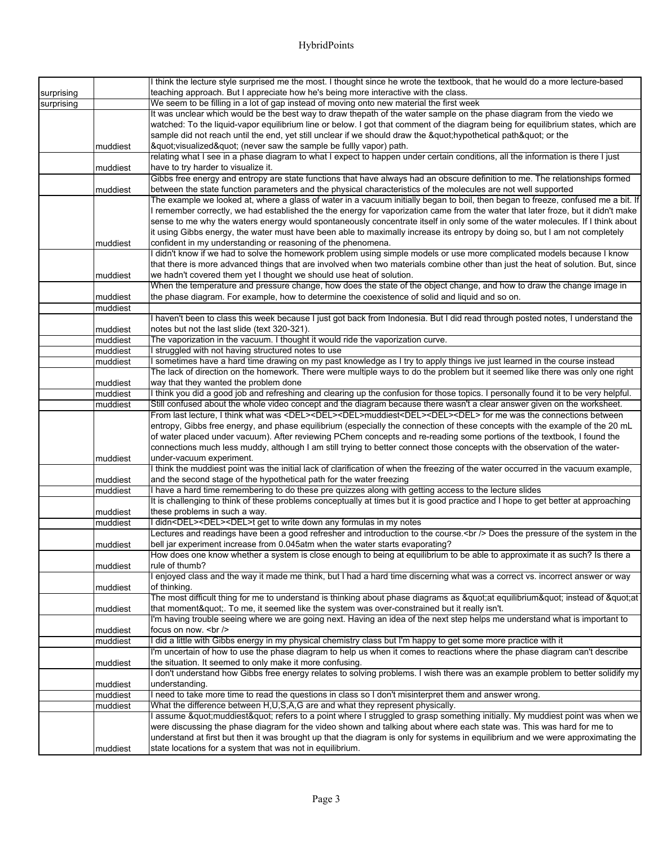## HybridPoints

|            |          | I think the lecture style surprised me the most. I thought since he wrote the textbook, that he would do a more lecture-based                                                                                                                                                 |
|------------|----------|-------------------------------------------------------------------------------------------------------------------------------------------------------------------------------------------------------------------------------------------------------------------------------|
| surprising |          | teaching approach. But I appreciate how he's being more interactive with the class.                                                                                                                                                                                           |
| surprising |          | We seem to be filling in a lot of gap instead of moving onto new material the first week                                                                                                                                                                                      |
|            |          | It was unclear which would be the best way to draw thepath of the water sample on the phase diagram from the viedo we                                                                                                                                                         |
|            |          | watched: To the liquid-vapor equilibrium line or below. I got that comment of the diagram being for equilibrium states, which are                                                                                                                                             |
|            |          | sample did not reach until the end, yet still unclear if we should draw the " hypothetical path" or the                                                                                                                                                                       |
|            | muddiest | & quot; visualized& quot; (never saw the sample be fullly vapor) path.                                                                                                                                                                                                        |
|            |          | relating what I see in a phase diagram to what I expect to happen under certain conditions, all the information is there I just                                                                                                                                               |
|            | muddiest | have to try harder to visualize it.                                                                                                                                                                                                                                           |
|            |          | Gibbs free energy and entropy are state functions that have always had an obscure definition to me. The relationships formed                                                                                                                                                  |
|            | muddiest | between the state function parameters and the physical characteristics of the molecules are not well supported                                                                                                                                                                |
|            |          | The example we looked at, where a glass of water in a vacuum initially began to boil, then began to freeze, confused me a bit. If                                                                                                                                             |
|            |          | I remember correctly, we had established the the energy for vaporization came from the water that later froze, but it didn't make                                                                                                                                             |
|            |          | sense to me why the waters energy would spontaneously concentrate itself in only some of the water molecules. If I think about                                                                                                                                                |
|            |          | it using Gibbs energy, the water must have been able to maximally increase its entropy by doing so, but I am not completely                                                                                                                                                   |
|            | muddiest | confident in my understanding or reasoning of the phenomena.                                                                                                                                                                                                                  |
|            |          | I didn't know if we had to solve the homework problem using simple models or use more complicated models because I know                                                                                                                                                       |
|            |          | that there is more advanced things that are involved when two materials combine other than just the heat of solution. But, since                                                                                                                                              |
|            | muddiest | we hadn't covered them yet I thought we should use heat of solution.                                                                                                                                                                                                          |
|            |          | When the temperature and pressure change, how does the state of the object change, and how to draw the change image in                                                                                                                                                        |
|            | muddiest | the phase diagram. For example, how to determine the coexistence of solid and liquid and so on.                                                                                                                                                                               |
|            | muddiest |                                                                                                                                                                                                                                                                               |
|            |          | I haven't been to class this week because I just got back from Indonesia. But I did read through posted notes, I understand the                                                                                                                                               |
|            | muddiest | notes but not the last slide (text 320-321).                                                                                                                                                                                                                                  |
|            | muddiest | The vaporization in the vacuum. I thought it would ride the vaporization curve.                                                                                                                                                                                               |
|            | muddiest | struggled with not having structured notes to use                                                                                                                                                                                                                             |
|            | muddiest | sometimes have a hard time drawing on my past knowledge as I try to apply things ive just learned in the course instead                                                                                                                                                       |
|            |          | The lack of direction on the homework. There were multiple ways to do the problem but it seemed like there was only one right                                                                                                                                                 |
|            | muddiest | way that they wanted the problem done                                                                                                                                                                                                                                         |
|            | muddiest | I think you did a good job and refreshing and clearing up the confusion for those topics. I personally found it to be very helpful.                                                                                                                                           |
|            | muddiest | Still confused about the whole video concept and the diagram because there wasn't a clear answer given on the worksheet.<br>From last lecture, I think what was <del><del><del>muddiest<del><del><del> for me was the connections between</del></del></del></del></del></del> |
|            |          | entropy, Gibbs free energy, and phase equilibrium (especially the connection of these concepts with the example of the 20 mL                                                                                                                                                  |
|            |          | of water placed under vacuum). After reviewing PChem concepts and re-reading some portions of the textbook, I found the                                                                                                                                                       |
|            |          | connections much less muddy, although I am still trying to better connect those concepts with the observation of the water-                                                                                                                                                   |
|            | muddiest | under-vacuum experiment.                                                                                                                                                                                                                                                      |
|            |          | I think the muddiest point was the initial lack of clarification of when the freezing of the water occurred in the vacuum example,                                                                                                                                            |
|            | muddiest | and the second stage of the hypothetical path for the water freezing                                                                                                                                                                                                          |
|            | muddiest | I have a hard time remembering to do these pre quizzes along with getting access to the lecture slides                                                                                                                                                                        |
|            |          | It is challenging to think of these problems conceptually at times but it is good practice and I hope to get better at approaching                                                                                                                                            |
|            | muddiest | these problems in such a way.                                                                                                                                                                                                                                                 |
|            | muddiest | I didn <del><del><del>t get to write down any formulas in my notes</del></del></del>                                                                                                                                                                                          |
|            |          | Lectures and readings have been a good refresher and introduction to the course.<br>Does the pressure of the system in the                                                                                                                                                    |
|            | muddiest | bell jar experiment increase from 0.045atm when the water starts evaporating?                                                                                                                                                                                                 |
|            |          | How does one know whether a system is close enough to being at equilibrium to be able to approximate it as such? Is there a                                                                                                                                                   |
|            | muddiest | rule of thumb?                                                                                                                                                                                                                                                                |
|            |          | enjoyed class and the way it made me think, but I had a hard time discerning what was a correct vs. incorrect answer or way                                                                                                                                                   |
|            | muddiest | of thinking.                                                                                                                                                                                                                                                                  |
|            |          | The most difficult thing for me to understand is thinking about phase diagrams as "at equilibrium" instead of "at                                                                                                                                                             |
|            | muddiest | that moment". To me, it seemed like the system was over-constrained but it really isn't.                                                                                                                                                                                      |
|            |          | I'm having trouble seeing where we are going next. Having an idea of the next step helps me understand what is important to                                                                                                                                                   |
|            | muddiest | focus on now.<br>                                                                                                                                                                                                                                                             |
|            | muddiest | I did a little with Gibbs energy in my physical chemistry class but I'm happy to get some more practice with it                                                                                                                                                               |
|            |          | I'm uncertain of how to use the phase diagram to help us when it comes to reactions where the phase diagram can't describe                                                                                                                                                    |
|            | muddiest | the situation. It seemed to only make it more confusing.                                                                                                                                                                                                                      |
|            |          | I don't understand how Gibbs free energy relates to solving problems. I wish there was an example problem to better solidify my                                                                                                                                               |
|            | muddiest | understanding.                                                                                                                                                                                                                                                                |
|            | muddiest | I need to take more time to read the questions in class so I don't misinterpret them and answer wrong.                                                                                                                                                                        |
|            | muddiest | What the difference between H, U, S, A, G are and what they represent physically.                                                                                                                                                                                             |
|            |          | assume "muddiest" refers to a point where I struggled to grasp something initially. My muddiest point was when we                                                                                                                                                             |
|            |          | were discussing the phase diagram for the video shown and talking about where each state was. This was hard for me to                                                                                                                                                         |
|            |          | understand at first but then it was brought up that the diagram is only for systems in equilibrium and we were approximating the                                                                                                                                              |
|            | muddiest | state locations for a system that was not in equilibrium.                                                                                                                                                                                                                     |